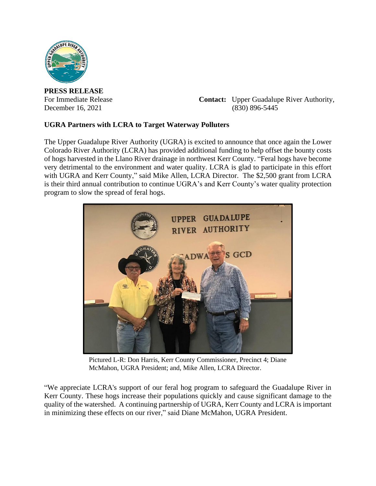

**PRESS RELEASE**

For Immediate Release **Contact:** Upper Guadalupe River Authority, December 16, 2021 (830) 896-5445

## **UGRA Partners with LCRA to Target Waterway Polluters**

The Upper Guadalupe River Authority (UGRA) is excited to announce that once again the Lower Colorado River Authority (LCRA) has provided additional funding to help offset the bounty costs of hogs harvested in the Llano River drainage in northwest Kerr County. "Feral hogs have become very detrimental to the environment and water quality. LCRA is glad to participate in this effort with UGRA and Kerr County," said Mike Allen, LCRA Director. The \$2,500 grant from LCRA is their third annual contribution to continue UGRA's and Kerr County's water quality protection program to slow the spread of feral hogs.



Pictured L-R: Don Harris, Kerr County Commissioner, Precinct 4; Diane McMahon, UGRA President; and, Mike Allen, LCRA Director.

"We appreciate LCRA's support of our feral hog program to safeguard the Guadalupe River in Kerr County. These hogs increase their populations quickly and cause significant damage to the quality of the watershed. A continuing partnership of UGRA, Kerr County and LCRA is important in minimizing these effects on our river," said Diane McMahon, UGRA President.